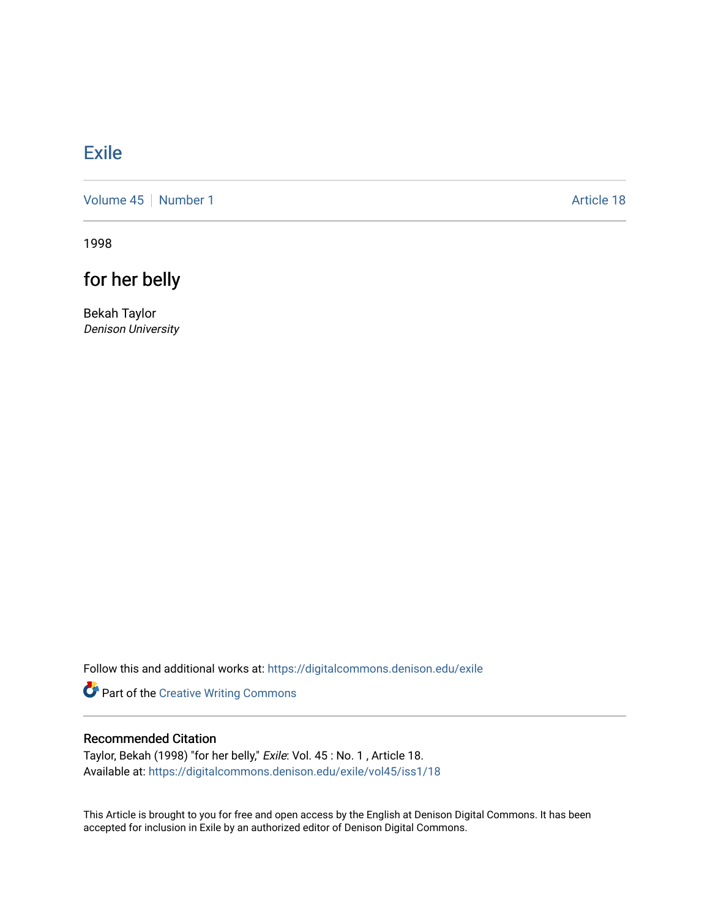## **[Exile](https://digitalcommons.denison.edu/exile)**

[Volume 45](https://digitalcommons.denison.edu/exile/vol45) | [Number 1](https://digitalcommons.denison.edu/exile/vol45/iss1) Article 18

1998

## for her belly

Bekah Taylor Denison University

Follow this and additional works at: [https://digitalcommons.denison.edu/exile](https://digitalcommons.denison.edu/exile?utm_source=digitalcommons.denison.edu%2Fexile%2Fvol45%2Fiss1%2F18&utm_medium=PDF&utm_campaign=PDFCoverPages) 

Part of the [Creative Writing Commons](http://network.bepress.com/hgg/discipline/574?utm_source=digitalcommons.denison.edu%2Fexile%2Fvol45%2Fiss1%2F18&utm_medium=PDF&utm_campaign=PDFCoverPages) 

## Recommended Citation

Taylor, Bekah (1998) "for her belly," Exile: Vol. 45 : No. 1 , Article 18. Available at: [https://digitalcommons.denison.edu/exile/vol45/iss1/18](https://digitalcommons.denison.edu/exile/vol45/iss1/18?utm_source=digitalcommons.denison.edu%2Fexile%2Fvol45%2Fiss1%2F18&utm_medium=PDF&utm_campaign=PDFCoverPages)

This Article is brought to you for free and open access by the English at Denison Digital Commons. It has been accepted for inclusion in Exile by an authorized editor of Denison Digital Commons.